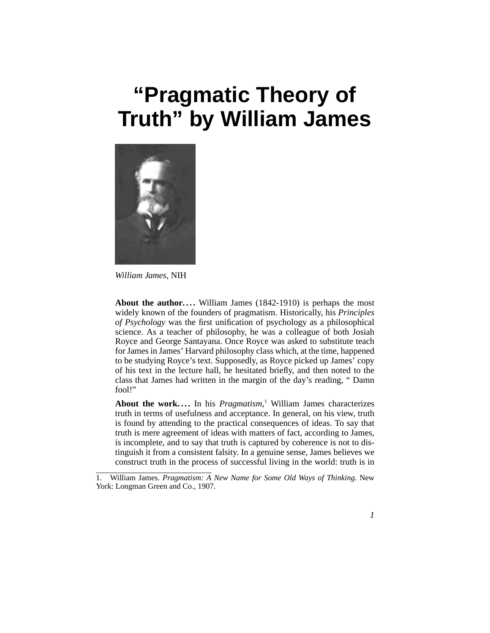# **"Pragmatic Theory of Truth" by William James**



*William James*, NIH

**About the author....** William James (1842-1910) is perhaps the most widely known of the founders of pragmatism. Historically, his *Principles of Psychology* was the first unification of psychology as a philosophical science. As a teacher of philosophy, he was a colleague of both Josiah Royce and George Santayana. Once Royce was asked to substitute teach for James in James' Harvard philosophy class which, at the time, happened to be studying Royce's text. Supposedly, as Royce picked up James' copy of his text in the lecture hall, he hesitated briefly, and then noted to the class that James had written in the margin of the day's reading, " Damn fool!"

About the work.... In his *Pragmatism*,<sup>1</sup> William James characterizes truth in terms of usefulness and acceptance. In general, on his view, truth is found by attending to the practical consequences of ideas. To say that truth is mere agreement of ideas with matters of fact, according to James, is incomplete, and to say that truth is captured by coherence is not to distinguish it from a consistent falsity. In a genuine sense, James believes we construct truth in the process of successful living in the world: truth is in

<sup>1.</sup> William James. *Pragmatism: A New Name for Some Old Ways of Thinking*. New York: Longman Green and Co., 1907.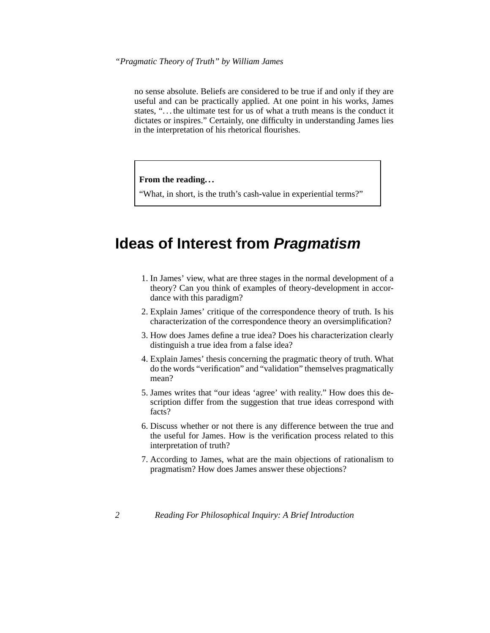no sense absolute. Beliefs are considered to be true if and only if they are useful and can be practically applied. At one point in his works, James states, ". . . the ultimate test for us of what a truth means is the conduct it dictates or inspires." Certainly, one difficulty in understanding James lies in the interpretation of his rhetorical flourishes.

**From the reading. . .**

"What, in short, is the truth's cash-value in experiential terms?"

### **Ideas of Interest from Pragmatism**

- 1. In James' view, what are three stages in the normal development of a theory? Can you think of examples of theory-development in accordance with this paradigm?
- 2. Explain James' critique of the correspondence theory of truth. Is his characterization of the correspondence theory an oversimplification?
- 3. How does James define a true idea? Does his characterization clearly distinguish a true idea from a false idea?
- 4. Explain James' thesis concerning the pragmatic theory of truth. What do the words "verification" and "validation" themselves pragmatically mean?
- 5. James writes that "our ideas 'agree' with reality." How does this description differ from the suggestion that true ideas correspond with facts?
- 6. Discuss whether or not there is any difference between the true and the useful for James. How is the verification process related to this interpretation of truth?
- 7. According to James, what are the main objections of rationalism to pragmatism? How does James answer these objections?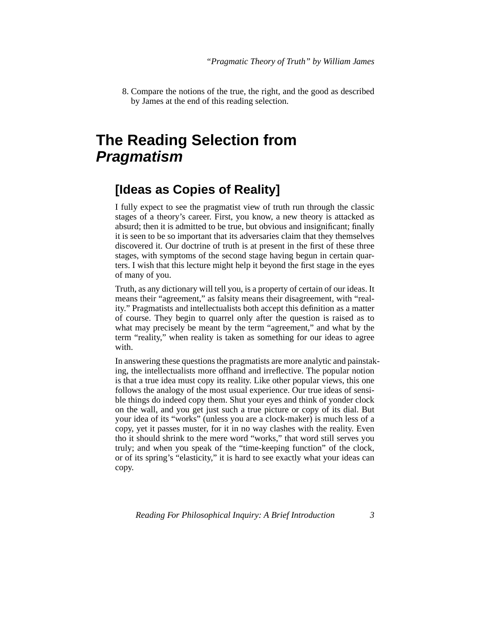8. Compare the notions of the true, the right, and the good as described by James at the end of this reading selection.

### **The Reading Selection from Pragmatism**

### **[Ideas as Copies of Reality]**

<span id="page-2-4"></span><span id="page-2-2"></span>I fully expect to see the pragmatist view of truth run through the classic stages of a theory's career. First, you know, a new theory is attacked as absurd; then it is admitted to be true, but obvious and insignificant; finally it is seen to be so important that its adversaries claim that they themselves discovered it. Our doctrine of truth is at present in the first of these three stages, with symptoms of the second stage having begun in certain quarters. I wish that this lecture might help it beyond the first stage in the eyes of many of you.

Truth, as any dictionary will tell you, is a property of certain of our ideas. It means their "agreement," as falsity means their disagreement, with "reality." Pragmatists and intellectualists both accept this definition as a matter of course. They begin to quarrel only after the question is raised as to what may precisely be meant by the term "agreement," and what by the term "reality," when reality is taken as something for our ideas to agree with.

<span id="page-2-3"></span><span id="page-2-1"></span><span id="page-2-0"></span>In answering these questions the pragmatists are more analytic and painstaking, the intellectualists more offhand and irreflective. The popular notion is that a true idea must copy its reality. Like other popular views, this one follows the analogy of the most usual experience. Our true ideas of sensible things do indeed copy them. Shut your eyes and think of yonder clock on the wall, and you get just such a true picture or copy of its dial. But your idea of its "works" (unless you are a clock-maker) is much less of a copy, yet it passes muster, for it in no way clashes with the reality. Even tho it should shrink to the mere word "works," that word still serves you truly; and when you speak of the "time-keeping function" of the clock, or of its spring's "elasticity," it is hard to see exactly what your ideas can copy.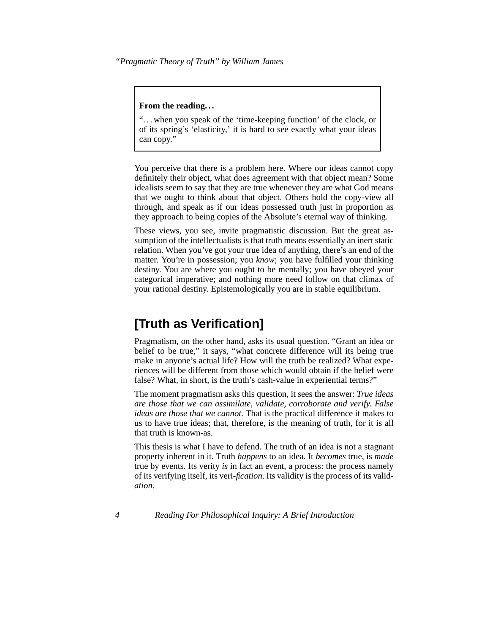#### **From the reading. . .**

". . . when you speak of the 'time-keeping function' of the clock, or of its spring's 'elasticity,' it is hard to see exactly what your ideas can copy."

<span id="page-3-2"></span>You perceive that there is a problem here. Where our ideas cannot copy definitely their object, what does agreement with that object mean? Some idealists seem to say that they are true whenever they are what God means that we ought to think about that object. Others hold the copy-view all through, and speak as if our ideas possessed truth just in proportion as they approach to being copies of the Absolute's eternal way of thinking.

<span id="page-3-4"></span><span id="page-3-3"></span>These views, you see, invite pragmatistic discussion. But the great assumption of the intellectualists is that truth means essentially an inert static relation. When you've got your true idea of anything, there's an end of the matter. You're in possession; you *know*; you have fulfilled your thinking destiny. You are where you ought to be mentally; you have obeyed your categorical imperative; and nothing more need follow on that climax of your rational destiny. Epistemologically you are in stable equilibrium.

### <span id="page-3-0"></span>**[Truth as Verification]**

Pragmatism, on the other hand, asks its usual question. "Grant an idea or belief to be true," it says, "what concrete difference will its being true make in anyone's actual life? How will the truth be realized? What experiences will be different from those which would obtain if the belief were false? What, in short, is the truth's cash-value in experiential terms?"

<span id="page-3-5"></span><span id="page-3-1"></span>The moment pragmatism asks this question, it sees the answer: *True ideas are those that we can assimilate, validate, corroborate and verify. False ideas are those that we cannot.* That is the practical difference it makes to us to have true ideas; that, therefore, is the meaning of truth, for it is all that truth is known-as.

This thesis is what I have to defend. The truth of an idea is not a stagnant property inherent in it. Truth *happens* to an idea. It *becomes* true, is *made* true by events. Its verity *is* in fact an event, a process: the process namely of its verifying itself, its veri-*fication*. Its validity is the process of its valid*ation*.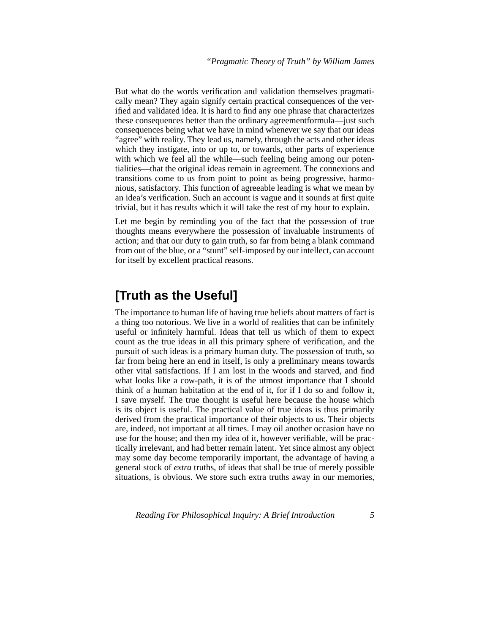But what do the words verification and validation themselves pragmatically mean? They again signify certain practical consequences of the verified and validated idea. It is hard to find any one phrase that characterizes these consequences better than the ordinary agreementformula—just such consequences being what we have in mind whenever we say that our ideas "agree" with reality. They lead us, namely, through the acts and other ideas which they instigate, into or up to, or towards, other parts of experience with which we feel all the while—such feeling being among our potentialities—that the original ideas remain in agreement. The connexions and transitions come to us from point to point as being progressive, harmonious, satisfactory. This function of agreeable leading is what we mean by an idea's verification. Such an account is vague and it sounds at first quite trivial, but it has results which it will take the rest of my hour to explain.

Let me begin by reminding you of the fact that the possession of true thoughts means everywhere the possession of invaluable instruments of action; and that our duty to gain truth, so far from being a blank command from out of the blue, or a "stunt" self-imposed by our intellect, can account for itself by excellent practical reasons.

### **[Truth as the Useful]**

<span id="page-4-0"></span>The importance to human life of having true beliefs about matters of fact is a thing too notorious. We live in a world of realities that can be infinitely useful or infinitely harmful. Ideas that tell us which of them to expect count as the true ideas in all this primary sphere of verification, and the pursuit of such ideas is a primary human duty. The possession of truth, so far from being here an end in itself, is only a preliminary means towards other vital satisfactions. If I am lost in the woods and starved, and find what looks like a cow-path, it is of the utmost importance that I should think of a human habitation at the end of it, for if I do so and follow it, I save myself. The true thought is useful here because the house which is its object is useful. The practical value of true ideas is thus primarily derived from the practical importance of their objects to us. Their objects are, indeed, not important at all times. I may oil another occasion have no use for the house; and then my idea of it, however verifiable, will be practically irrelevant, and had better remain latent. Yet since almost any object may some day become temporarily important, the advantage of having a general stock of *extra* truths, of ideas that shall be true of merely possible situations, is obvious. We store such extra truths away in our memories,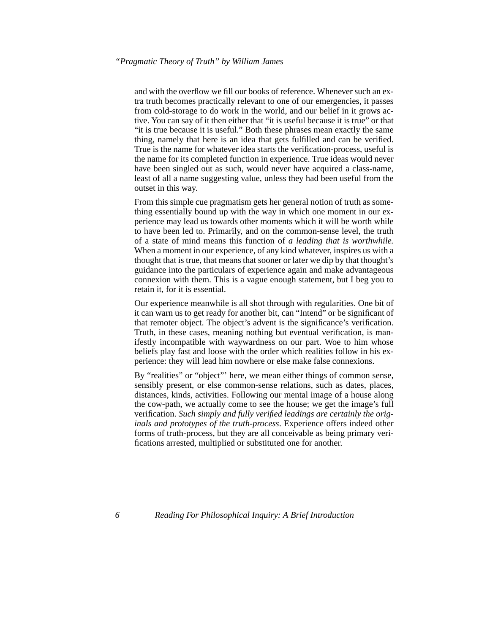and with the overflow we fill our books of reference. Whenever such an extra truth becomes practically relevant to one of our emergencies, it passes from cold-storage to do work in the world, and our belief in it grows active. You can say of it then either that "it is useful because it is true" or that "it is true because it is useful." Both these phrases mean exactly the same thing, namely that here is an idea that gets fulfilled and can be verified. True is the name for whatever idea starts the verification-process, useful is the name for its completed function in experience. True ideas would never have been singled out as such, would never have acquired a class-name. least of all a name suggesting value, unless they had been useful from the outset in this way.

From this simple cue pragmatism gets her general notion of truth as something essentially bound up with the way in which one moment in our experience may lead us towards other moments which it will be worth while to have been led to. Primarily, and on the common-sense level, the truth of a state of mind means this function of *a leading that is worthwhile.* When a moment in our experience, of any kind whatever, inspires us with a thought that is true, that means that sooner or later we dip by that thought's guidance into the particulars of experience again and make advantageous connexion with them. This is a vague enough statement, but I beg you to retain it, for it is essential.

<span id="page-5-0"></span>Our experience meanwhile is all shot through with regularities. One bit of it can warn us to get ready for another bit, can "Intend" or be significant of that remoter object. The object's advent is the significance's verification. Truth, in these cases, meaning nothing but eventual verification, is manifestly incompatible with waywardness on our part. Woe to him whose beliefs play fast and loose with the order which realities follow in his experience: they will lead him nowhere or else make false connexions.

By "realities" or "object"' here, we mean either things of common sense, sensibly present, or else common-sense relations, such as dates, places, distances, kinds, activities. Following our mental image of a house along the cow-path, we actually come to see the house; we get the image's full verification. *Such simply and fully verified leadings are certainly the originals and prototypes of the truth-process*. Experience offers indeed other forms of truth-process, but they are all conceivable as being primary verifications arrested, multiplied or substituted one for another.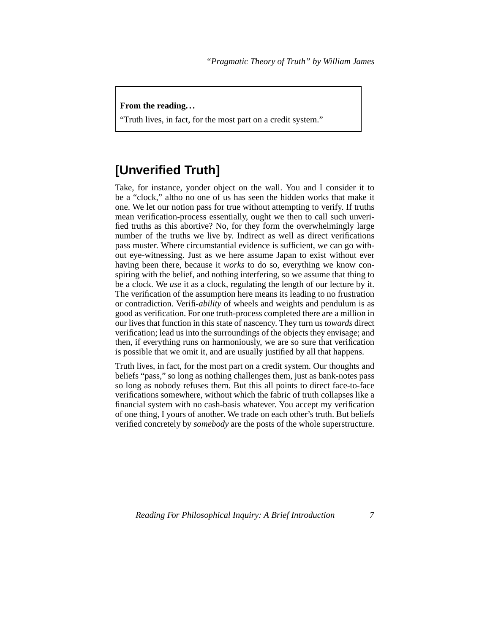#### **From the reading. . .**

"Truth lives, in fact, for the most part on a credit system."

### **[Unverified Truth]**

<span id="page-6-1"></span><span id="page-6-0"></span>Take, for instance, yonder object on the wall. You and I consider it to be a "clock," altho no one of us has seen the hidden works that make it one. We let our notion pass for true without attempting to verify. If truths mean verification-process essentially, ought we then to call such unverified truths as this abortive? No, for they form the overwhelmingly large number of the truths we live by. Indirect as well as direct verifications pass muster. Where circumstantial evidence is sufficient, we can go without eye-witnessing. Just as we here assume Japan to exist without ever having been there, because it *works* to do so, everything we know conspiring with the belief, and nothing interfering, so we assume that thing to be a clock. We *use* it as a clock, regulating the length of our lecture by it. The verification of the assumption here means its leading to no frustration or contradiction. Verifi-*ability* of wheels and weights and pendulum is as good as verification. For one truth-process completed there are a million in our lives that function in this state of nascency. They turn us *towards* direct verification; lead us into the surroundings of the objects they envisage; and then, if everything runs on harmoniously, we are so sure that verification is possible that we omit it, and are usually justified by all that happens.

Truth lives, in fact, for the most part on a credit system. Our thoughts and beliefs "pass," so long as nothing challenges them, just as bank-notes pass so long as nobody refuses them. But this all points to direct face-to-face verifications somewhere, without which the fabric of truth collapses like a financial system with no cash-basis whatever. You accept my verification of one thing, I yours of another. We trade on each other's truth. But beliefs verified concretely by *somebody* are the posts of the whole superstructure.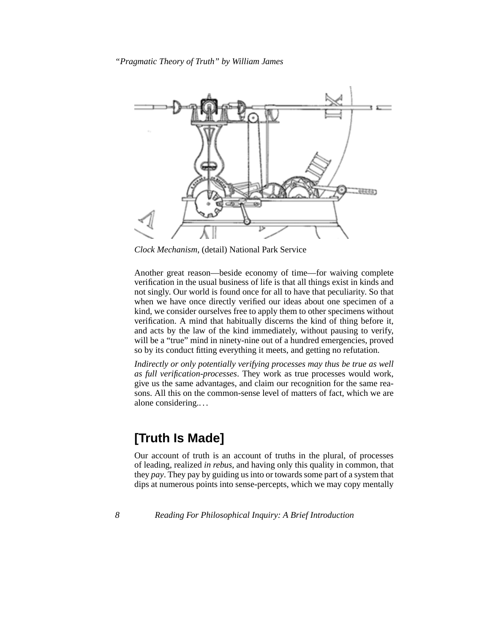

*Clock Mechanism*, (detail) National Park Service

<span id="page-7-0"></span>Another great reason—beside economy of time—for waiving complete verification in the usual business of life is that all things exist in kinds and not singly. Our world is found once for all to have that peculiarity. So that when we have once directly verified our ideas about one specimen of a kind, we consider ourselves free to apply them to other specimens without verification. A mind that habitually discerns the kind of thing before it, and acts by the law of the kind immediately, without pausing to verify, will be a "true" mind in ninety-nine out of a hundred emergencies, proved so by its conduct fitting everything it meets, and getting no refutation.

*Indirectly or only potentially verifying processes may thus be true as well as full verification-processes*. They work as true processes would work, give us the same advantages, and claim our recognition for the same reasons. All this on the common-sense level of matters of fact, which we are alone considering.. . .

### **[Truth Is Made]**

Our account of truth is an account of truths in the plural, of processes of leading, realized *in rebus*, and having only this quality in common, that they *pay*. They pay by guiding us into or towards some part of a system that dips at numerous points into sense-percepts, which we may copy mentally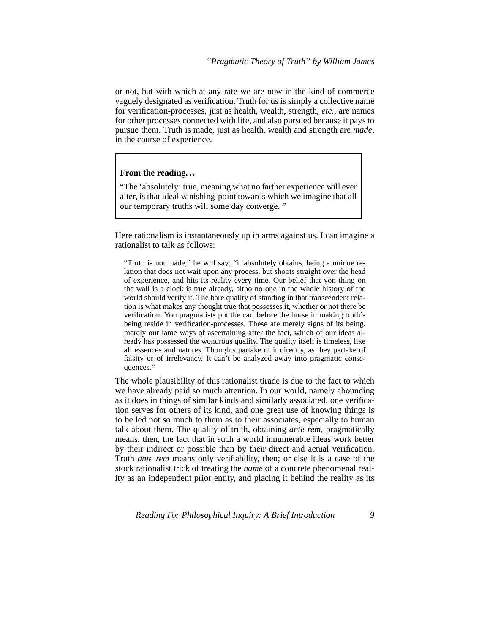or not, but with which at any rate we are now in the kind of commerce vaguely designated as verification. Truth for us is simply a collective name for verification-processes, just as health, wealth, strength, *etc.*, are names for other processes connected with life, and also pursued because it pays to pursue them. Truth is made, just as health, wealth and strength are *made*, in the course of experience.

#### **From the reading. . .**

"The 'absolutely' true, meaning what no farther experience will ever alter, is that ideal vanishing-point towards which we imagine that all our temporary truths will some day converge. "

<span id="page-8-0"></span>Here rationalism is instantaneously up in arms against us. I can imagine a rationalist to talk as follows:

"Truth is not made," he will say; "it absolutely obtains, being a unique relation that does not wait upon any process, but shoots straight over the head of experience, and hits its reality every time. Our belief that yon thing on the wall is a clock is true already, altho no one in the whole history of the world should verify it. The bare quality of standing in that transcendent relation is what makes any thought true that possesses it, whether or not there be verification. You pragmatists put the cart before the horse in making truth's being reside in verification-processes. These are merely signs of its being, merely our lame ways of ascertaining after the fact, which of our ideas already has possessed the wondrous quality. The quality itself is timeless, like all essences and natures. Thoughts partake of it directly, as they partake of falsity or of irrelevancy. It can't be analyzed away into pragmatic consequences."

The whole plausibility of this rationalist tirade is due to the fact to which we have already paid so much attention. In our world, namely abounding as it does in things of similar kinds and similarly associated, one verification serves for others of its kind, and one great use of knowing things is to be led not so much to them as to their associates, especially to human talk about them. The quality of truth, obtaining *ante rem*, pragmatically means, then, the fact that in such a world innumerable ideas work better by their indirect or possible than by their direct and actual verification. Truth *ante rem* means only verifiability, then; or else it is a case of the stock rationalist trick of treating the *name* of a concrete phenomenal reality as an independent prior entity, and placing it behind the reality as its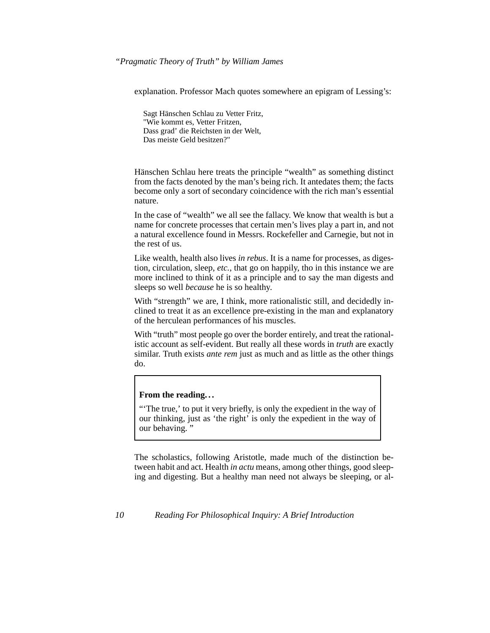explanation. Professor Mach quotes somewhere an epigram of Lessing's:

<span id="page-9-2"></span><span id="page-9-1"></span>Sagt Hänschen Schlau zu Vetter Fritz, "Wie kommt es, Vetter Fritzen, Dass grad' die Reichsten in der Welt, Das meiste Geld besitzen?"

Hänschen Schlau here treats the principle "wealth" as something distinct from the facts denoted by the man's being rich. It antedates them; the facts become only a sort of secondary coincidence with the rich man's essential nature.

In the case of "wealth" we all see the fallacy. We know that wealth is but a name for concrete processes that certain men's lives play a part in, and not a natural excellence found in Messrs. Rockefeller and Carnegie, but not in the rest of us.

Like wealth, health also lives *in rebus*. It is a name for processes, as digestion, circulation, sleep, *etc.*, that go on happily, tho in this instance we are more inclined to think of it as a principle and to say the man digests and sleeps so well *because* he is so healthy.

With "strength" we are, I think, more rationalistic still, and decidedly inclined to treat it as an excellence pre-existing in the man and explanatory of the herculean performances of his muscles.

With "truth" most people go over the border entirely, and treat the rationalistic account as self-evident. But really all these words in *truth* are exactly similar. Truth exists *ante rem* just as much and as little as the other things do.

#### **From the reading. . .**

"The true,' to put it very briefly, is only the expedient in the way of our thinking, just as 'the right' is only the expedient in the way of our behaving."

<span id="page-9-3"></span><span id="page-9-0"></span>The scholastics, following Aristotle, made much of the distinction between habit and act. Health *in actu* means, among other things, good sleeping and digesting. But a healthy man need not always be sleeping, or al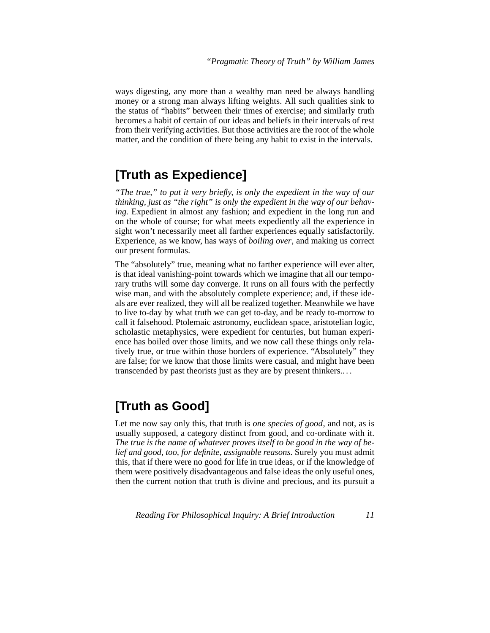ways digesting, any more than a wealthy man need be always handling money or a strong man always lifting weights. All such qualities sink to the status of "habits" between their times of exercise; and similarly truth becomes a habit of certain of our ideas and beliefs in their intervals of rest from their verifying activities. But those activities are the root of the whole matter, and the condition of there being any habit to exist in the intervals.

### **[Truth as Expedience]**

*"The true," to put it very briefly, is only the expedient in the way of our thinking, just as "the right" is only the expedient in the way of our behaving.* Expedient in almost any fashion; and expedient in the long run and on the whole of course; for what meets expediently all the experience in sight won't necessarily meet all farther experiences equally satisfactorily. Experience, as we know, has ways of *boiling over*, and making us correct our present formulas.

The "absolutely" true, meaning what no farther experience will ever alter, is that ideal vanishing-point towards which we imagine that all our temporary truths will some day converge. It runs on all fours with the perfectly wise man, and with the absolutely complete experience; and, if these ideals are ever realized, they will all be realized together. Meanwhile we have to live to-day by what truth we can get to-day, and be ready to-morrow to call it falsehood. Ptolemaic astronomy, euclidean space, aristotelian logic, scholastic metaphysics, were expedient for centuries, but human experience has boiled over those limits, and we now call these things only relatively true, or true within those borders of experience. "Absolutely" they are false; for we know that those limits were casual, and might have been transcended by past theorists just as they are by present thinkers.. . .

### **[Truth as Good]**

<span id="page-10-1"></span><span id="page-10-0"></span>Let me now say only this, that truth is *one species of good*, and not, as is usually supposed, a category distinct from good, and co-ordinate with it. *The true is the name of whatever proves itself to be good in the way of belief and good, too, for definite, assignable reasons.* Surely you must admit this, that if there were no good for life in true ideas, or if the knowledge of them were positively disadvantageous and false ideas the only useful ones, then the current notion that truth is divine and precious, and its pursuit a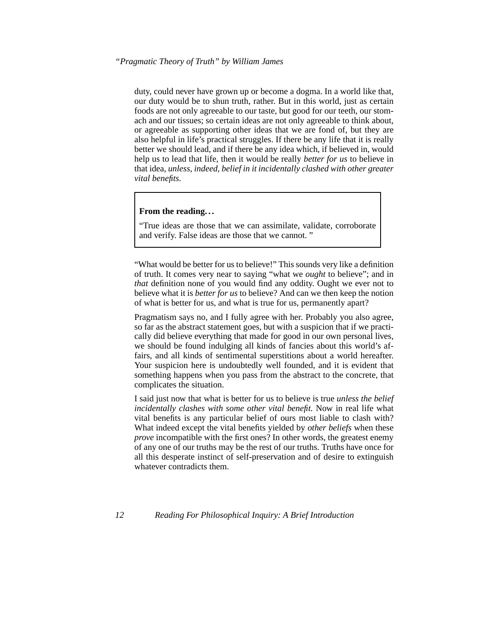duty, could never have grown up or become a dogma. In a world like that, our duty would be to shun truth, rather. But in this world, just as certain foods are not only agreeable to our taste, but good for our teeth, our stomach and our tissues; so certain ideas are not only agreeable to think about, or agreeable as supporting other ideas that we are fond of, but they are also helpful in life's practical struggles. If there be any life that it is really better we should lead, and if there be any idea which, if believed in, would help us to lead that life, then it would be really *better for us* to believe in that idea, *unless, indeed, belief in it incidentally clashed with other greater vital benefits.*

#### **From the reading. . .**

<span id="page-11-1"></span>"True ideas are those that we can assimilate, validate, corroborate and verify. False ideas are those that we cannot. "

"What would be better for us to believe!" This sounds very like a definition of truth. It comes very near to saying "what we *ought* to believe"; and in *that* definition none of you would find any oddity. Ought we ever not to believe what it is *better for us* to believe? And can we then keep the notion of what is better for us, and what is true for us, permanently apart?

Pragmatism says no, and I fully agree with her. Probably you also agree, so far as the abstract statement goes, but with a suspicion that if we practically did believe everything that made for good in our own personal lives, we should be found indulging all kinds of fancies about this world's affairs, and all kinds of sentimental superstitions about a world hereafter. Your suspicion here is undoubtedly well founded, and it is evident that something happens when you pass from the abstract to the concrete, that complicates the situation.

<span id="page-11-0"></span>I said just now that what is better for us to believe is true *unless the belief incidentally clashes with some other vital benefit.* Now in real life what vital benefits is any particular belief of ours most liable to clash with? What indeed except the vital benefits yielded by *other beliefs* when these *prove* incompatible with the first ones? In other words, the greatest enemy of any one of our truths may be the rest of our truths. Truths have once for all this desperate instinct of self-preservation and of desire to extinguish whatever contradicts them.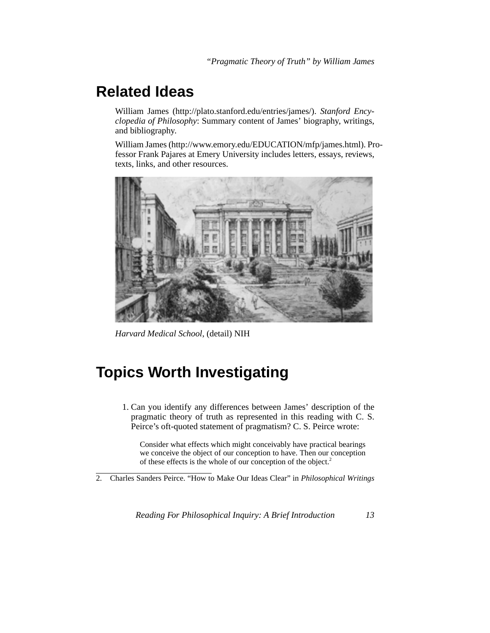### **Related Ideas**

William James (http://plato.stanford.edu/entries/james/). *Stanford Encyclopedia of Philosophy*: Summary content of James' biography, writings, and bibliography.

William James (http://www.emory.edu/EDUCATION/mfp/james.html). Professor Frank Pajares at Emery University includes letters, essays, reviews, texts, links, and other resources.



*Harvard Medical School*, (detail) NIH

## **Topics Worth Investigating**

1. Can you identify any differences between James' description of the pragmatic theory of truth as represented in this reading with C. S. Peirce's oft-quoted statement of pragmatism? C. S. Peirce wrote:

Consider what effects which might conceivably have practical bearings we conceive the object of our conception to have. Then our conception of these effects is the whole of our conception of the object.<sup>2</sup>

2. Charles Sanders Peirce. "How to Make Our Ideas Clear" in *Philosophical Writings*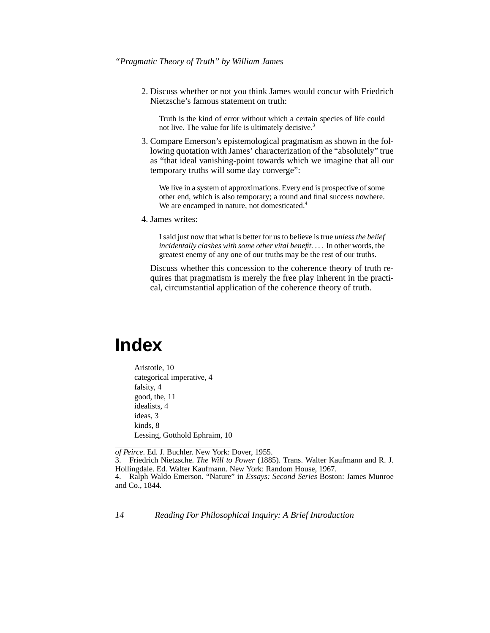#### <span id="page-13-0"></span>*"Pragmatic Theory of Truth" by William James*

2. Discuss whether or not you think James would concur with Friedrich Nietzsche's famous statement on truth:

Truth is the kind of error without which a certain species of life could not live. The value for life is ultimately decisive.<sup>3</sup>

3. Compare Emerson's epistemological pragmatism as shown in the following quotation with James' characterization of the "absolutely" true as "that ideal vanishing-point towards which we imagine that all our temporary truths will some day converge":

We live in a system of approximations. Every end is prospective of some other end, which is also temporary; a round and final success nowhere. We are encamped in nature, not domesticated.<sup>4</sup>

4. James writes:

I said just now that what is better for us to believe is true *unless the belief* incidentally clashes with some other vital benefit. . . . In other words, the greatest enemy of any one of our truths may be the rest of our truths.

Discuss whether this concession to the coherence theory of truth requires that pragmatism is merely the free play inherent in the practical, circumstantial application of the coherence theory of truth.

# **Index**

Aristotle, [10](#page-9-0) categorical imperative, [4](#page-3-0) falsity, [4](#page-3-1) good, the, [11](#page-10-0) idealists, [4](#page-3-2) ideas, [3](#page-2-0) kinds, [8](#page-7-0) Lessing, Gotthold Ephraim, [10](#page-9-1)

*of Peirce*. Ed. J. Buchler. New York: Dover, 1955.

3. Friedrich Nietzsche. *The Will to Power* (1885). Trans. Walter Kaufmann and R. J. Hollingdale. Ed. Walter Kaufmann. New York: Random House, 1967.

<sup>4.</sup> Ralph Waldo Emerson. "Nature" in *Essays: Second Series* Boston: James Munroe and Co., 1844.